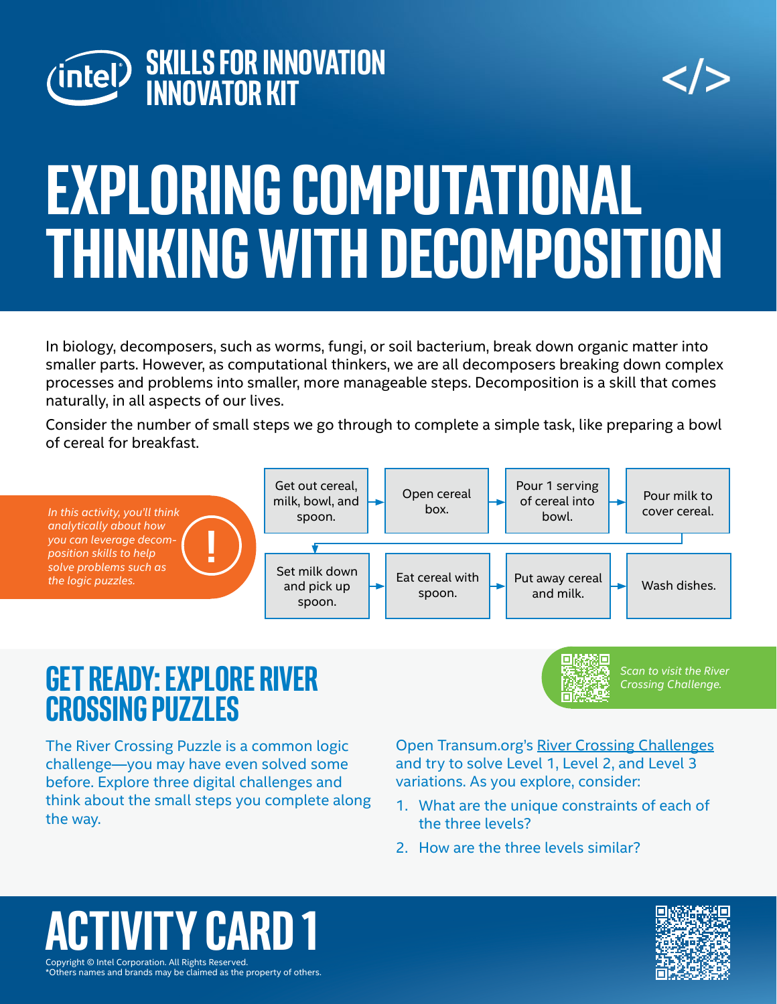

$$
\texttt{}
$$

# **Exploring Computational Thinking with decomposition**

In biology, decomposers, such as worms, fungi, or soil bacterium, break down organic matter into smaller parts. However, as computational thinkers, we are all decomposers breaking down complex processes and problems into smaller, more manageable steps. Decomposition is a skill that comes naturally, in all aspects of our lives.

Consider the number of small steps we go through to complete a simple task, like preparing a bowl of cereal for breakfast.



#### **Get Ready: explore river crossing puzzles**

The River Crossing Puzzle is a common logic challenge—you may have even solved some before. Explore three digital challenges and think about the small steps you complete along Open Transum.org's [River Crossing Challenges](https://www.transum.org/software/River_Crossing/) and try to solve Level 1, Level 2, and Level 3 variations. As you explore, consider:

- 1. What are the unique constraints of each of the three levels?
- 2. How are the three levels similar?

#### Copyright © Intel Corporation. All Rights Reserved. **ACTIV CA**

the way.

*Scan to visit the River Crossing Challenge.*

\*Others names and brands may be claimed as the property of others.